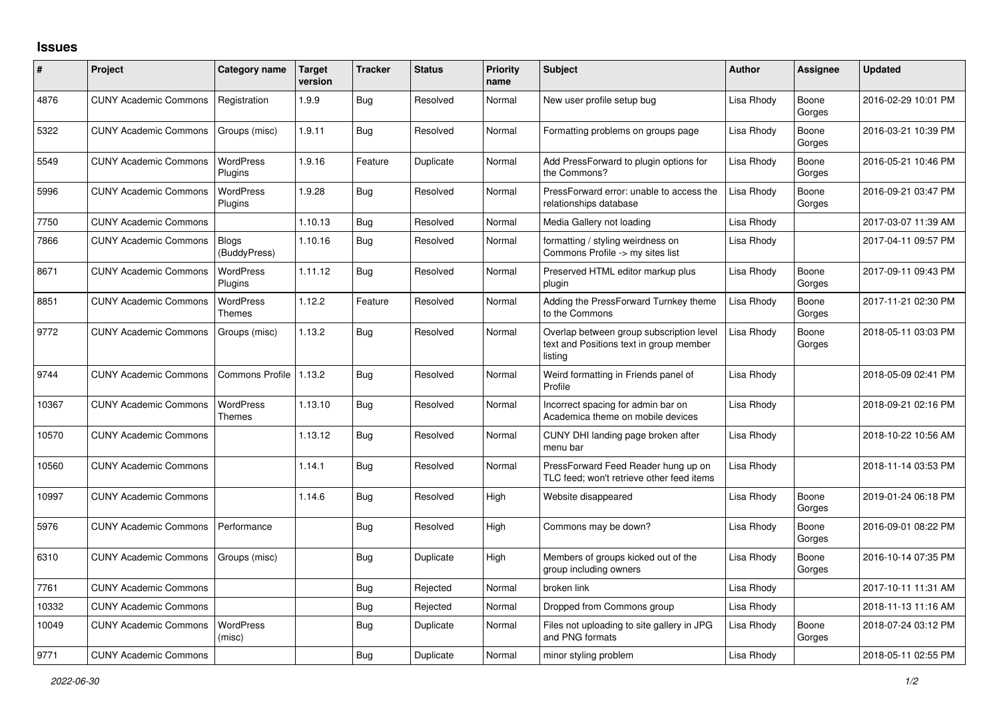## **Issues**

| #     | Project                      | Category name                | Target<br>version | <b>Tracker</b> | <b>Status</b> | <b>Priority</b><br>name | <b>Subject</b>                                                                                 | <b>Author</b> | <b>Assignee</b> | <b>Updated</b>      |
|-------|------------------------------|------------------------------|-------------------|----------------|---------------|-------------------------|------------------------------------------------------------------------------------------------|---------------|-----------------|---------------------|
| 4876  | <b>CUNY Academic Commons</b> | Registration                 | 1.9.9             | Bug            | Resolved      | Normal                  | New user profile setup bug                                                                     | Lisa Rhody    | Boone<br>Gorges | 2016-02-29 10:01 PM |
| 5322  | <b>CUNY Academic Commons</b> | Groups (misc)                | 1.9.11            | Bug            | Resolved      | Normal                  | Formatting problems on groups page                                                             | Lisa Rhody    | Boone<br>Gorges | 2016-03-21 10:39 PM |
| 5549  | <b>CUNY Academic Commons</b> | WordPress<br>Plugins         | 1.9.16            | Feature        | Duplicate     | Normal                  | Add PressForward to plugin options for<br>the Commons?                                         | Lisa Rhody    | Boone<br>Gorges | 2016-05-21 10:46 PM |
| 5996  | <b>CUNY Academic Commons</b> | WordPress<br>Plugins         | 1.9.28            | Bug            | Resolved      | Normal                  | PressForward error: unable to access the<br>relationships database                             | Lisa Rhody    | Boone<br>Gorges | 2016-09-21 03:47 PM |
| 7750  | <b>CUNY Academic Commons</b> |                              | 1.10.13           | Bug            | Resolved      | Normal                  | Media Gallery not loading                                                                      | Lisa Rhody    |                 | 2017-03-07 11:39 AM |
| 7866  | <b>CUNY Academic Commons</b> | <b>Blogs</b><br>(BuddyPress) | 1.10.16           | <b>Bug</b>     | Resolved      | Normal                  | formatting / styling weirdness on<br>Commons Profile -> my sites list                          | Lisa Rhody    |                 | 2017-04-11 09:57 PM |
| 8671  | <b>CUNY Academic Commons</b> | WordPress<br>Plugins         | 1.11.12           | Bug            | Resolved      | Normal                  | Preserved HTML editor markup plus<br>plugin                                                    | Lisa Rhody    | Boone<br>Gorges | 2017-09-11 09:43 PM |
| 8851  | <b>CUNY Academic Commons</b> | <b>WordPress</b><br>Themes   | 1.12.2            | Feature        | Resolved      | Normal                  | Adding the PressForward Turnkey theme<br>to the Commons                                        | Lisa Rhody    | Boone<br>Gorges | 2017-11-21 02:30 PM |
| 9772  | <b>CUNY Academic Commons</b> | Groups (misc)                | 1.13.2            | Bug            | Resolved      | Normal                  | Overlap between group subscription level<br>text and Positions text in group member<br>listing | Lisa Rhody    | Boone<br>Gorges | 2018-05-11 03:03 PM |
| 9744  | <b>CUNY Academic Commons</b> | Commons Profile              | 1.13.2            | Bug            | Resolved      | Normal                  | Weird formatting in Friends panel of<br>Profile                                                | Lisa Rhody    |                 | 2018-05-09 02:41 PM |
| 10367 | <b>CUNY Academic Commons</b> | WordPress<br>Themes          | 1.13.10           | <b>Bug</b>     | Resolved      | Normal                  | Incorrect spacing for admin bar on<br>Academica theme on mobile devices                        | Lisa Rhody    |                 | 2018-09-21 02:16 PM |
| 10570 | <b>CUNY Academic Commons</b> |                              | 1.13.12           | Bug            | Resolved      | Normal                  | CUNY DHI landing page broken after<br>menu bar                                                 | Lisa Rhody    |                 | 2018-10-22 10:56 AM |
| 10560 | <b>CUNY Academic Commons</b> |                              | 1.14.1            | Bug            | Resolved      | Normal                  | PressForward Feed Reader hung up on<br>TLC feed; won't retrieve other feed items               | Lisa Rhody    |                 | 2018-11-14 03:53 PM |
| 10997 | <b>CUNY Academic Commons</b> |                              | 1.14.6            | Bug            | Resolved      | High                    | Website disappeared                                                                            | Lisa Rhody    | Boone<br>Gorges | 2019-01-24 06:18 PM |
| 5976  | <b>CUNY Academic Commons</b> | Performance                  |                   | Bug            | Resolved      | High                    | Commons may be down?                                                                           | Lisa Rhody    | Boone<br>Gorges | 2016-09-01 08:22 PM |
| 6310  | <b>CUNY Academic Commons</b> | Groups (misc)                |                   | Bug            | Duplicate     | High                    | Members of groups kicked out of the<br>group including owners                                  | Lisa Rhody    | Boone<br>Gorges | 2016-10-14 07:35 PM |
| 7761  | <b>CUNY Academic Commons</b> |                              |                   | Bug            | Rejected      | Normal                  | broken link                                                                                    | Lisa Rhody    |                 | 2017-10-11 11:31 AM |
| 10332 | <b>CUNY Academic Commons</b> |                              |                   | Bug            | Rejected      | Normal                  | Dropped from Commons group                                                                     | Lisa Rhody    |                 | 2018-11-13 11:16 AM |
| 10049 | <b>CUNY Academic Commons</b> | <b>WordPress</b><br>(misc)   |                   | Bug            | Duplicate     | Normal                  | Files not uploading to site gallery in JPG<br>and PNG formats                                  | Lisa Rhody    | Boone<br>Gorges | 2018-07-24 03:12 PM |
| 9771  | <b>CUNY Academic Commons</b> |                              |                   | Bug            | Duplicate     | Normal                  | minor styling problem                                                                          | Lisa Rhody    |                 | 2018-05-11 02:55 PM |